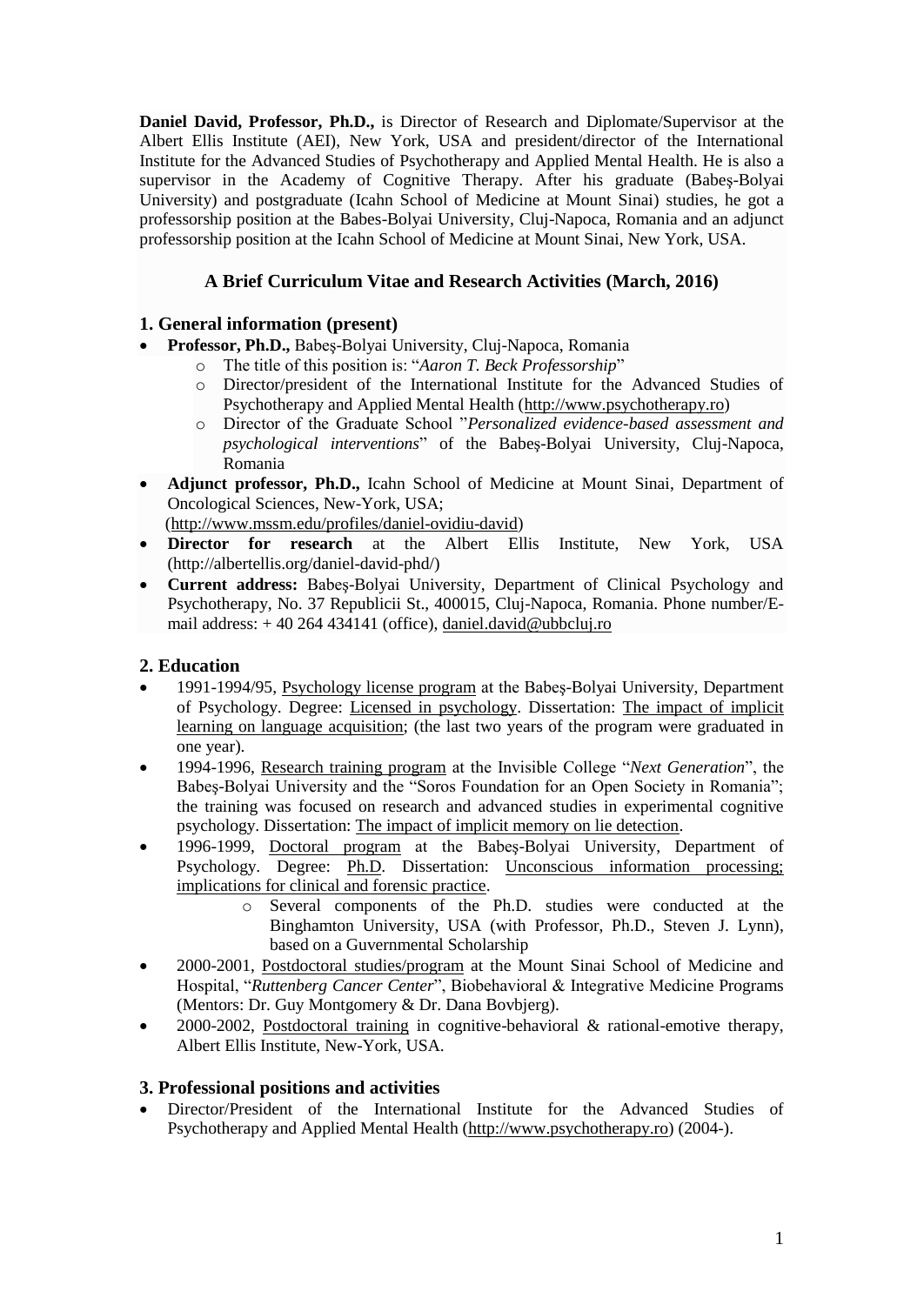**Daniel David, Professor, Ph.D.,** is Director of Research and Diplomate/Supervisor at the Albert Ellis Institute (AEI), New York, USA and president/director of the International Institute for the Advanced Studies of Psychotherapy and Applied Mental Health. He is also a supervisor in the Academy of Cognitive Therapy. After his graduate (Babeş-Bolyai University) and postgraduate (Icahn School of Medicine at Mount Sinai) studies, he got a professorship position at the Babes-Bolyai University, Cluj-Napoca, Romania and an adjunct professorship position at the Icahn School of Medicine at Mount Sinai, New York, USA.

# **A Brief Curriculum Vitae and Research Activities (March, 2016)**

## **1. General information (present)**

- **Professor, Ph.D.,** Babeş-Bolyai University, Cluj-Napoca, Romania
	- o The title of this position is: "*Aaron T. Beck Professorship*"
		- o Director/president of the International Institute for the Advanced Studies of Psychotherapy and Applied Mental Health [\(http://www.psychotherapy.ro\)](http://www.psychotherapy.ro/)
	- o Director of the Graduate School "*Personalized evidence-based assessment and psychological interventions*" of the Babeş-Bolyai University, Cluj-Napoca, Romania
- **Adjunct professor, Ph.D.,** Icahn School of Medicine at Mount Sinai, Department of Oncological Sciences, New-York, USA;

[\(http://www.mssm.edu/profiles/daniel-ovidiu-david\)](http://www.mssm.edu/profiles/daniel-ovidiu-david)

- **Director for research** at the Albert Ellis Institute, New York, USA (http://albertellis.org/daniel-david-phd/)
- **Current address:** Babeş-Bolyai University, Department of Clinical Psychology and Psychotherapy, No. 37 Republicii St., 400015, Cluj-Napoca, Romania. Phone number/Email address: + 40 264 434141 (office), [daniel.david@ubbcluj.ro](mailto:daniel.david@ubbcluj.ro)

## **2. Education**

- 1991-1994/95, Psychology license program at the Babeş-Bolyai University, Department of Psychology. Degree: Licensed in psychology. Dissertation: The impact of implicit learning on language acquisition; (the last two years of the program were graduated in one year).
- 1994-1996, Research training program at the Invisible College "*Next Generation*", the Babeş-Bolyai University and the "Soros Foundation for an Open Society in Romania"; the training was focused on research and advanced studies in experimental cognitive psychology. Dissertation: The impact of implicit memory on lie detection.
- 1996-1999, Doctoral program at the Babeş-Bolyai University, Department of Psychology. Degree: Ph.D. Dissertation: Unconscious information processing; implications for clinical and forensic practice.
	- o Several components of the Ph.D. studies were conducted at the Binghamton University, USA (with Professor, Ph.D., Steven J. Lynn), based on a Guvernmental Scholarship
- 2000-2001, Postdoctoral studies/program at the Mount Sinai School of Medicine and Hospital, "*Ruttenberg Cancer Center*", Biobehavioral & Integrative Medicine Programs (Mentors: Dr. Guy Montgomery & Dr. Dana Bovbjerg).
- 2000-2002, Postdoctoral training in cognitive-behavioral & rational-emotive therapy, Albert Ellis Institute, New-York, USA.

### **3. Professional positions and activities**

 Director/President of the International Institute for the Advanced Studies of Psychotherapy and Applied Mental Health [\(http://www.psychotherapy.ro\)](http://www.psychotherapy.ro/) (2004-).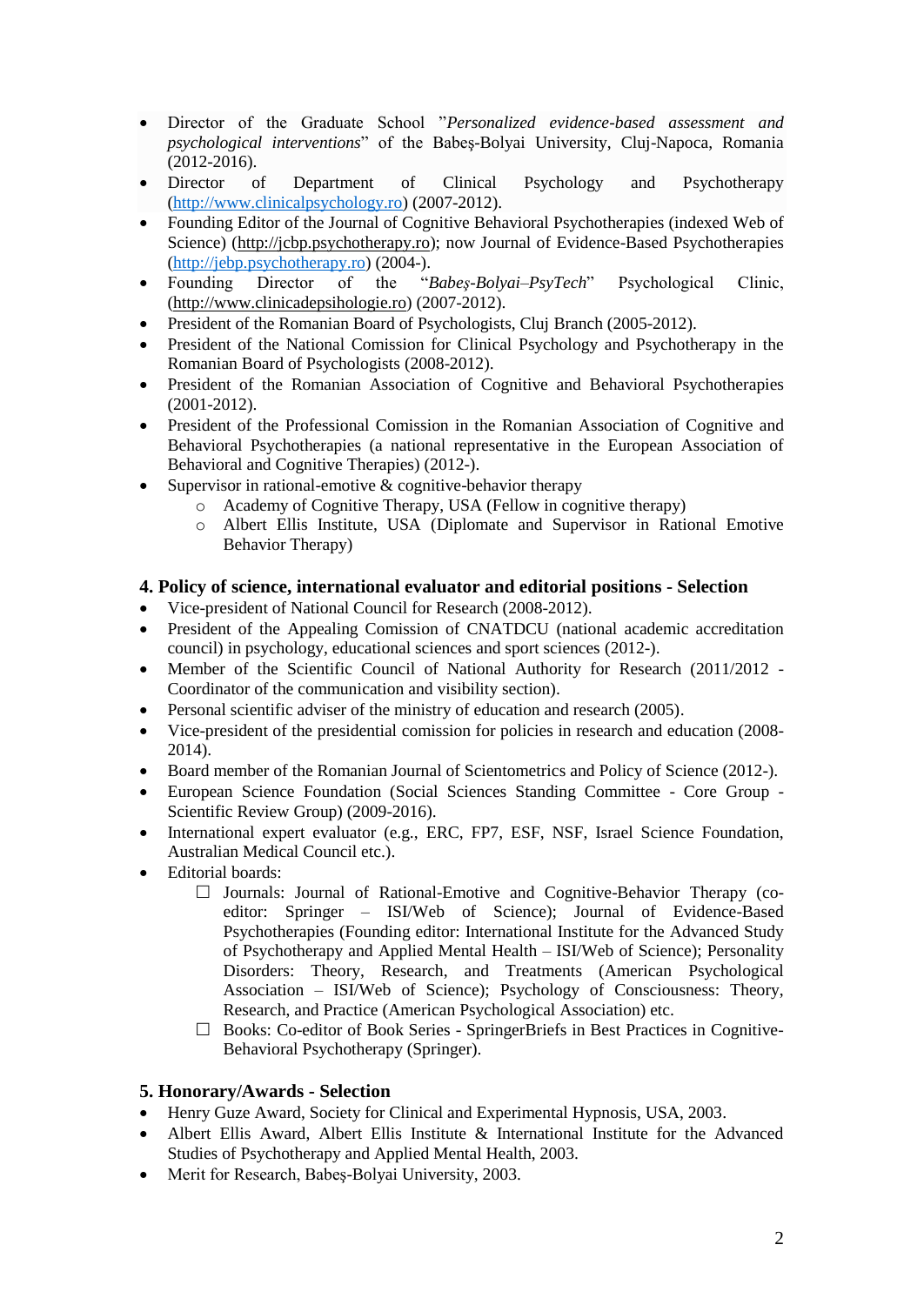- Director of the Graduate School "*Personalized evidence-based assessment and psychological interventions*" of the Babeş-Bolyai University, Cluj-Napoca, Romania (2012-2016).
- Director of Department of Clinical Psychology and Psychotherapy [\(http://www.clinicalpsychology.ro\)](http://www.clinicalpsychology.ro/) (2007-2012).
- Founding Editor of the Journal of Cognitive Behavioral Psychotherapies (indexed Web of Science) [\(http://jcbp.psychotherapy.ro\)](http://jcbp.psychotherapy.ro/); now Journal of Evidence-Based Psychotherapies [\(http://jebp.psychotherapy.ro\)](http://jebp.psychotherapy.ro/) (2004-).
- Founding Director of the "*Babeş-Bolyai–PsyTech*" Psychological Clinic, [\(http://www.clinicadepsihologie.ro\)](http://www.clinicadepsihologie.ro/) (2007-2012).
- President of the Romanian Board of Psychologists, Cluj Branch (2005-2012).
- President of the National Comission for Clinical Psychology and Psychotherapy in the Romanian Board of Psychologists (2008-2012).
- President of the Romanian Association of Cognitive and Behavioral Psychotherapies (2001-2012).
- President of the Professional Comission in the Romanian Association of Cognitive and Behavioral Psychotherapies (a national representative in the European Association of Behavioral and Cognitive Therapies) (2012-).
- Supervisor in rational-emotive  $&$  cognitive-behavior therapy
	- o Academy of Cognitive Therapy, USA (Fellow in cognitive therapy)
	- o Albert Ellis Institute, USA (Diplomate and Supervisor in Rational Emotive Behavior Therapy)

### **4. Policy of science, international evaluator and editorial positions - Selection**

- Vice-president of National Council for Research (2008-2012).
- President of the Appealing Comission of CNATDCU (national academic accreditation council) in psychology, educational sciences and sport sciences (2012-).
- Member of the Scientific Council of National Authority for Research (2011/2012 -Coordinator of the communication and visibility section).
- Personal scientific adviser of the ministry of education and research (2005).
- Vice-president of the presidential comission for policies in research and education (2008- 2014).
- Board member of the Romanian Journal of Scientometrics and Policy of Science (2012-).
- European Science Foundation (Social Sciences Standing Committee Core Group Scientific Review Group) (2009-2016).
- International expert evaluator (e.g., ERC, FP7, ESF, NSF, Israel Science Foundation, Australian Medical Council etc.).
- Editorial boards:
	- $\Box$  Journals: Journal of Rational-Emotive and Cognitive-Behavior Therapy (coeditor: Springer – ISI/Web of Science); Journal of Evidence-Based Psychotherapies (Founding editor: International Institute for the Advanced Study of Psychotherapy and Applied Mental Health – ISI/Web of Science); Personality Disorders: Theory, Research, and Treatments (American Psychological Association – ISI/Web of Science); Psychology of Consciousness: Theory, Research, and Practice (American Psychological Association) etc.
	- $\Box$  Books: Co-editor of Book Series SpringerBriefs in Best Practices in Cognitive-Behavioral Psychotherapy (Springer).

### **5. Honorary/Awards - Selection**

- Henry Guze Award, Society for Clinical and Experimental Hypnosis, USA, 2003.
- Albert Ellis Award, Albert Ellis Institute & International Institute for the Advanced Studies of Psychotherapy and Applied Mental Health, 2003.
- Merit for Research, Babeş-Bolyai University, 2003.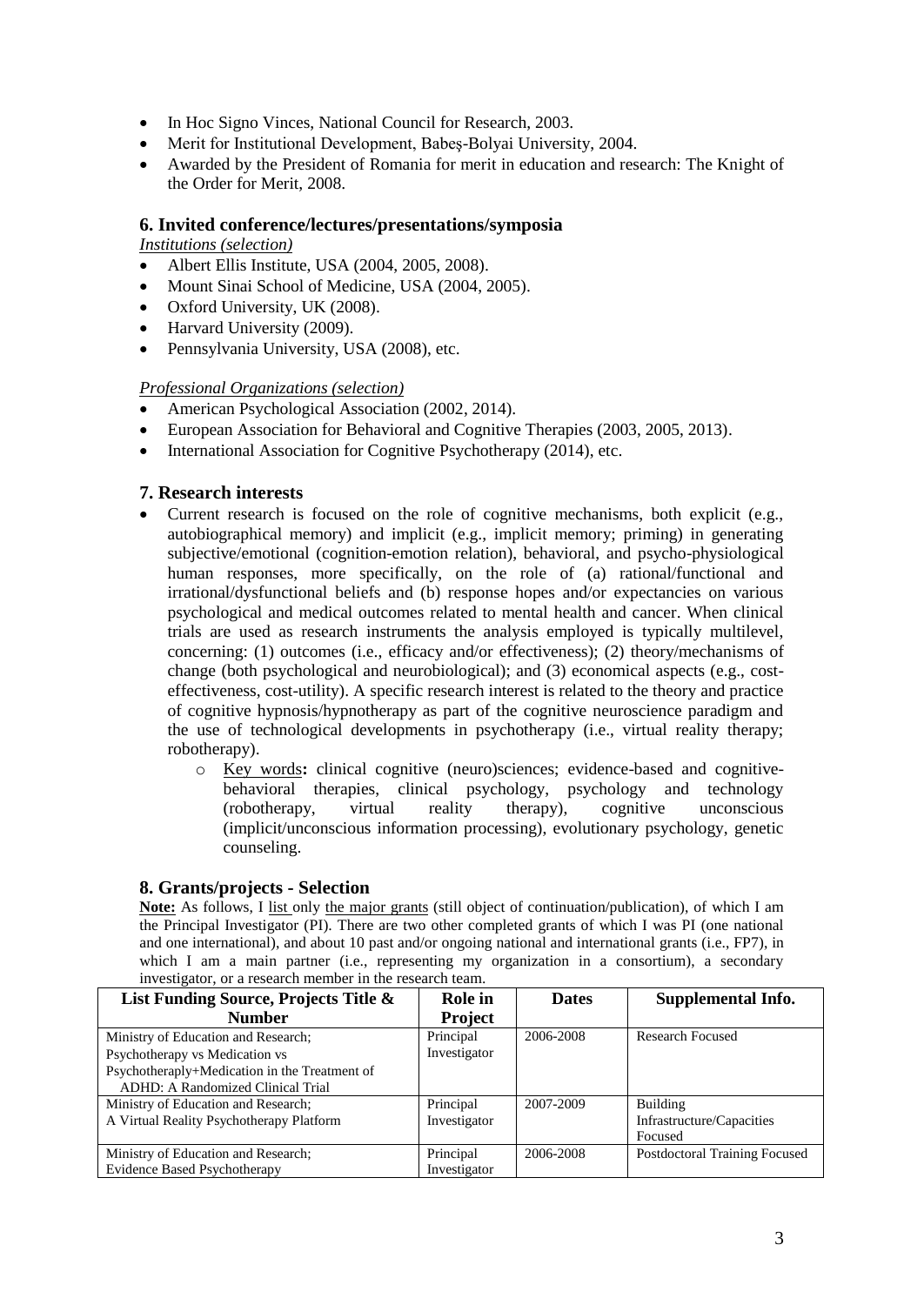- In Hoc Signo Vinces, National Council for Research, 2003.
- Merit for Institutional Development, Babeş-Bolyai University, 2004.
- Awarded by the President of Romania for merit in education and research: The Knight of the Order for Merit, 2008.

#### **6. Invited conference/lectures/presentations/symposia**

*Institutions (selection)*

- Albert Ellis Institute, USA (2004, 2005, 2008).
- Mount Sinai School of Medicine, USA (2004, 2005).
- Oxford University, UK (2008).
- Harvard University (2009).
- Pennsylvania University, USA (2008), etc.

### *Professional Organizations (selection)*

- American Psychological Association (2002, 2014).
- European Association for Behavioral and Cognitive Therapies (2003, 2005, 2013).
- International Association for Cognitive Psychotherapy (2014), etc.

#### **7. Research interests**

- Current research is focused on the role of cognitive mechanisms, both explicit (e.g., autobiographical memory) and implicit (e.g., implicit memory; priming) in generating subjective/emotional (cognition-emotion relation), behavioral, and psycho-physiological human responses, more specifically, on the role of (a) rational/functional and irrational/dysfunctional beliefs and (b) response hopes and/or expectancies on various psychological and medical outcomes related to mental health and cancer. When clinical trials are used as research instruments the analysis employed is typically multilevel, concerning: (1) outcomes (i.e., efficacy and/or effectiveness); (2) theory/mechanisms of change (both psychological and neurobiological); and (3) economical aspects (e.g., costeffectiveness, cost-utility). A specific research interest is related to the theory and practice of cognitive hypnosis/hypnotherapy as part of the cognitive neuroscience paradigm and the use of technological developments in psychotherapy (i.e., virtual reality therapy; robotherapy).
	- o Key words**:** clinical cognitive (neuro)sciences; evidence-based and cognitivebehavioral therapies, clinical psychology, psychology and technology (robotherapy, virtual reality therapy), cognitive unconscious (implicit/unconscious information processing), evolutionary psychology, genetic counseling.

#### **8. Grants/projects - Selection**

**Note:** As follows, I list only the major grants (still object of continuation/publication), of which I am the Principal Investigator (PI). There are two other completed grants of which I was PI (one national and one international), and about 10 past and/or ongoing national and international grants (i.e., FP7), in which I am a main partner (i.e., representing my organization in a consortium), a secondary investigator, or a research member in the research team.

| List Funding Source, Projects Title &         | Role in        | <b>Dates</b> | Supplemental Info.            |
|-----------------------------------------------|----------------|--------------|-------------------------------|
| <b>Number</b>                                 | <b>Project</b> |              |                               |
| Ministry of Education and Research;           | Principal      | 2006-2008    | Research Focused              |
| Psychotherapy vs Medication vs                | Investigator   |              |                               |
| Psychotheraply+Medication in the Treatment of |                |              |                               |
| ADHD: A Randomized Clinical Trial             |                |              |                               |
| Ministry of Education and Research;           | Principal      | 2007-2009    | Building                      |
| A Virtual Reality Psychotherapy Platform      | Investigator   |              | Infrastructure/Capacities     |
|                                               |                |              | Focused                       |
| Ministry of Education and Research;           | Principal      | 2006-2008    | Postdoctoral Training Focused |
| <b>Evidence Based Psychotherapy</b>           | Investigator   |              |                               |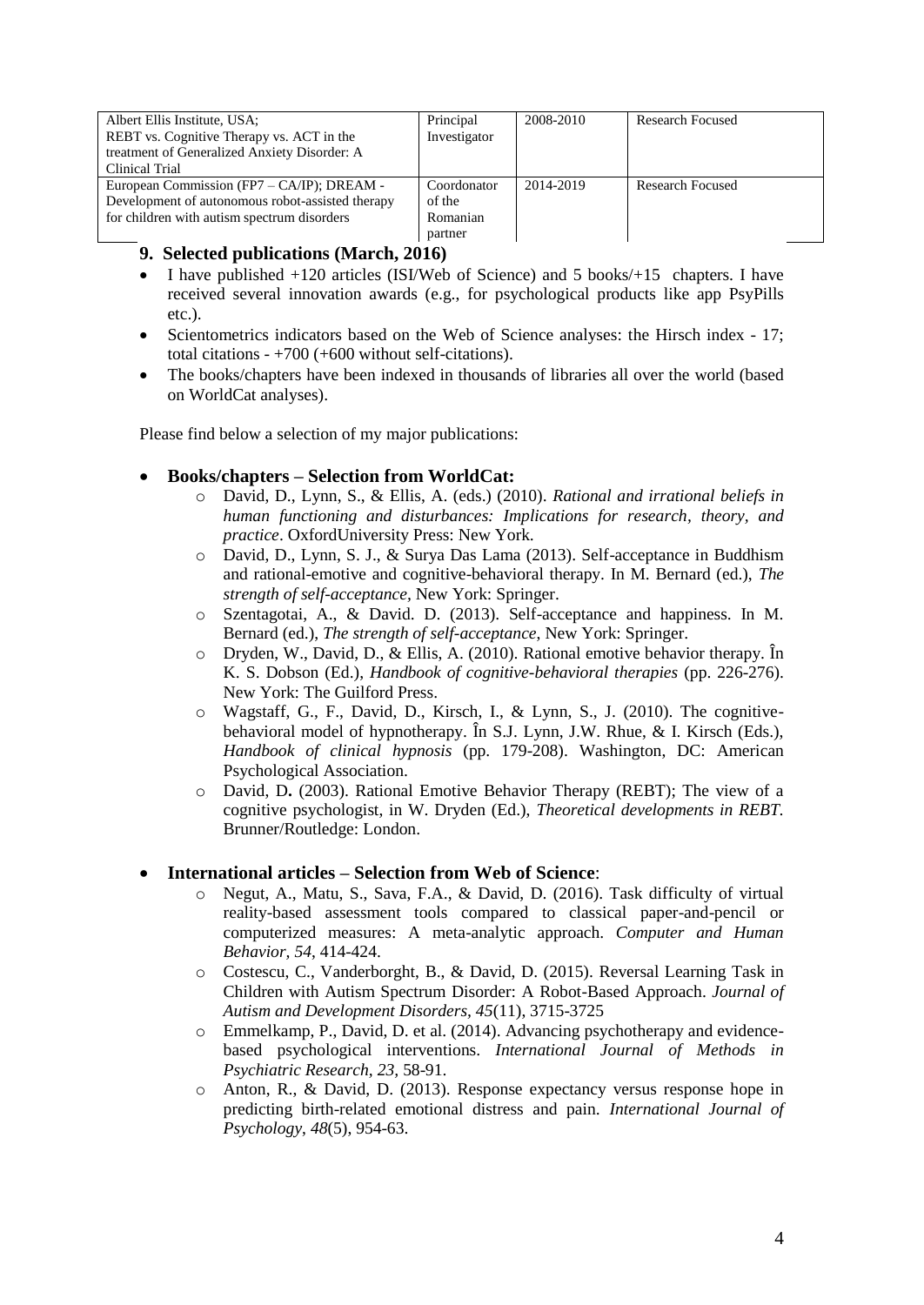| Albert Ellis Institute, USA;                     | Principal    | 2008-2010 | <b>Research Focused</b> |
|--------------------------------------------------|--------------|-----------|-------------------------|
| REBT vs. Cognitive Therapy vs. ACT in the        | Investigator |           |                         |
| treatment of Generalized Anxiety Disorder: A     |              |           |                         |
| Clinical Trial                                   |              |           |                         |
| European Commission (FP7 – CA/IP); DREAM -       | Coordonator  | 2014-2019 | <b>Research Focused</b> |
| Development of autonomous robot-assisted therapy | of the       |           |                         |
| for children with autism spectrum disorders      | Romanian     |           |                         |
|                                                  | partner      |           |                         |

# **9. Selected publications (March, 2016)**

- I have published +120 articles (ISI/Web of Science) and 5 books/+15 chapters. I have received several innovation awards (e.g., for psychological products like app PsyPills etc.).
- Scientometrics indicators based on the Web of Science analyses: the Hirsch index 17; total citations - +700 (+600 without self-citations).
- The books/chapters have been indexed in thousands of libraries all over the world (based on WorldCat analyses).

Please find below a selection of my major publications:

## **Books/chapters – Selection from WorldCat:**

- o David, D., Lynn, S., & Ellis, A. (eds.) (2010). *Rational and irrational beliefs in human functioning and disturbances: Implications for research, theory, and practice*. OxfordUniversity Press: New York.
- o David, D., Lynn, S. J., & Surya Das Lama (2013). Self-acceptance in Buddhism and rational-emotive and cognitive-behavioral therapy. In M. Bernard (ed.), *The strength of self-acceptance,* New York: Springer.
- o Szentagotai, A., & David. D. (2013). Self-acceptance and happiness. In M. Bernard (ed.), *The strength of self-acceptance*, New York: Springer.
- o Dryden, W., David, D., & Ellis, A. (2010). Rational emotive behavior therapy. În K. S. Dobson (Ed.), *Handbook of cognitive-behavioral therapies* (pp. 226-276). New York: The Guilford Press.
- o Wagstaff, G., F., David, D., Kirsch, I., & Lynn, S., J. (2010). The cognitivebehavioral model of hypnotherapy. În S.J. Lynn, J.W. Rhue, & I. Kirsch (Eds.), *Handbook of clinical hypnosis* (pp. 179-208). Washington, DC: American Psychological Association.
- o David, D**.** (2003). Rational Emotive Behavior Therapy (REBT); The view of a cognitive psychologist, in W. Dryden (Ed.), *Theoretical developments in REBT.* Brunner/Routledge: London.

### **International articles – Selection from Web of Science**:

- o Negut, A., Matu, S., Sava, F.A., & David, D. (2016). Task difficulty of virtual reality-based assessment tools compared to classical paper-and-pencil or computerized measures: A meta-analytic approach. *Computer and Human Behavior, 54*, 414-424.
- o Costescu, C., Vanderborght, B., & David, D. (2015). [Reversal Learning Task in](http://eresources.library.mssm.edu:2121/full_record.do?product=WOS&search_mode=GeneralSearch&qid=12&SID=4DzdXoBeLewYQFg1Dnt&page=1&doc=5)  [Children with Autism Spectrum Disorder: A Robot-Based Approach.](http://eresources.library.mssm.edu:2121/full_record.do?product=WOS&search_mode=GeneralSearch&qid=12&SID=4DzdXoBeLewYQFg1Dnt&page=1&doc=5) *Journal of [Autism and Development Disorders, 45](http://eresources.library.mssm.edu:2121/full_record.do?product=WOS&search_mode=GeneralSearch&qid=12&SID=4DzdXoBeLewYQFg1Dnt&page=1&doc=5)*(11), 3715-3725
- o Emmelkamp, P., David, D. et al. (2014). Advancing psychotherapy and evidencebased psychological interventions. *International Journal of Methods in Psychiatric Research, 23,* 58-91.
- o Anton, R., & David, D. (2013). Response expectancy versus response hope in predicting birth-related emotional distress and pain. *International Journal of Psychology*, *48*(5), 954-63.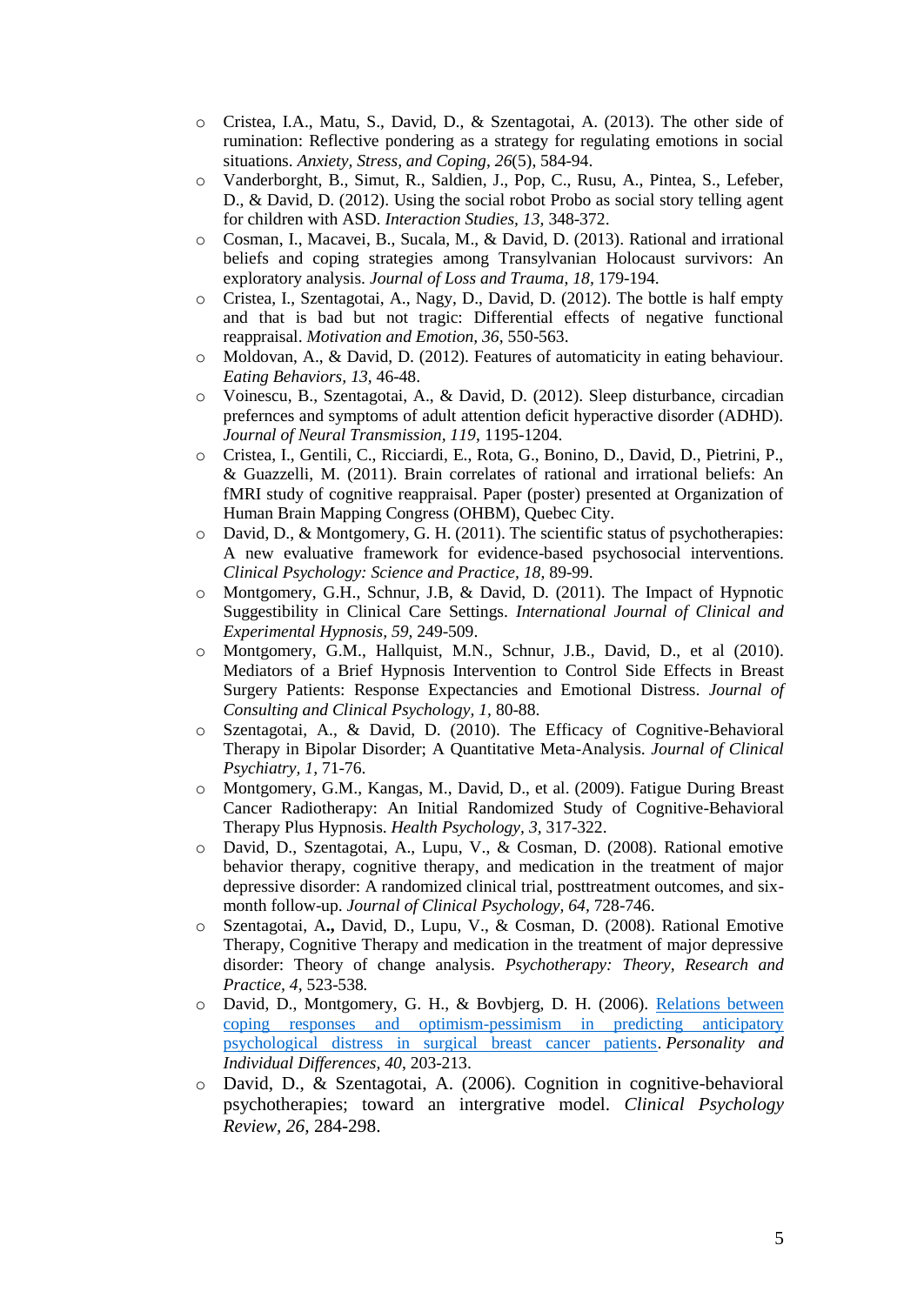- o Cristea, I.A., Matu, S., David, D., & Szentagotai, A. (2013). The other side of rumination: Reflective pondering as a strategy for regulating emotions in social situations. *Anxiety, Stress, and Coping*, *26*(5), 584-94.
- o Vanderborght, B., Simut, R., Saldien, J., Pop, C., Rusu, A., Pintea, S., Lefeber, D., & David, D. (2012). Using the social robot Probo as social story telling agent for children with ASD. *Interaction Studies, 13,* 348-372.
- o Cosman, I., Macavei, B., Sucala, M., & David, D. (2013). Rational and irrational beliefs and coping strategies among Transylvanian Holocaust survivors: An exploratory analysis. *Journal of Loss and Trauma*, *18,* 179-194.
- o Cristea, I., Szentagotai, A., Nagy, D., David, D. (2012). The bottle is half empty and that is bad but not tragic: Differential effects of negative functional reappraisal. *Motivation and Emotion, 36,* 550-563.
- $\circ$  Moldovan, A., & David, D. (2012). Features of automaticity in eating behaviour. *Eating Behaviors, 13,* 46-48.
- o Voinescu, B., Szentagotai, A., & David, D. (2012). Sleep disturbance, circadian prefernces and symptoms of adult attention deficit hyperactive disorder (ADHD). *Journal of Neural Transmission, 119*, 1195-1204.
- o Cristea, I., Gentili, C., Ricciardi, E., Rota, G., Bonino, D., David, D., Pietrini, P., & Guazzelli, M. (2011). Brain correlates of rational and irrational beliefs: An fMRI study of cognitive reappraisal. Paper (poster) presented at Organization of Human Brain Mapping Congress (OHBM), Quebec City.
- o David, D., & Montgomery, G. H. (2011). The scientific status of psychotherapies: A new evaluative framework for evidence-based psychosocial interventions. *Clinical Psychology: Science and Practice, 18,* 89-99.
- o Montgomery, G.H., Schnur, J.B, & David, D. (2011). The Impact of Hypnotic Suggestibility in Clinical Care Settings. *International Journal of Clinical and Experimental Hypnosis, 59,* 249-509.
- o Montgomery, G.M., Hallquist, M.N., Schnur, J.B., David, D., et al (2010). Mediators of a Brief Hypnosis [Intervention](http://eresources.library.mssm.edu:2101/full_record.do?product=WOS&search_mode=GeneralSearch&qid=1&SID=3COOLKlc7MADdLBol7m&page=1&doc=1) to Control Side Effects in Breast Surgery Patients: Response [Expectancies](http://eresources.library.mssm.edu:2101/full_record.do?product=WOS&search_mode=GeneralSearch&qid=1&SID=3COOLKlc7MADdLBol7m&page=1&doc=1) and Emotional Distress. *Journal of Consulting and Clinical Psychology, 1,* 80-88.
- o Szentagotai, A., & David, D. (2010). The Efficacy of Cognitive-Behavioral Therapy in Bipolar Disorder; A Quantitative Meta-Analysis. *Journal of Clinical Psychiatry, 1,* 71-76.
- o Montgomery, G.M., Kangas, M., David, D., et al. (2009). [Fatigue](http://eresources.library.mssm.edu:2101/full_record.do?product=WOS&search_mode=GeneralSearch&qid=1&SID=3COOLKlc7MADdLBol7m&page=1&doc=5) During Breast Cancer Radiotherapy: An Initial Randomized Study of [Cognitive-Behavioral](http://eresources.library.mssm.edu:2101/full_record.do?product=WOS&search_mode=GeneralSearch&qid=1&SID=3COOLKlc7MADdLBol7m&page=1&doc=5) Therapy Plus [Hypnosis.](http://eresources.library.mssm.edu:2101/full_record.do?product=WOS&search_mode=GeneralSearch&qid=1&SID=3COOLKlc7MADdLBol7m&page=1&doc=5) *Health Psychology, 3,* 317-322.
- o David, D., Szentagotai, A., Lupu, V., & Cosman, D. (2008). Rational emotive behavior therapy, cognitive therapy, and medication in the treatment of major depressive disorder: A randomized clinical trial, posttreatment outcomes, and sixmonth follow-up. *Journal of Clinical Psychology, 64,* 728-746.
- o Szentagotai, A**.,** David, D., Lupu, V., & Cosman, D. (2008). Rational Emotive Therapy, Cognitive Therapy and medication in the treatment of major depressive disorder: Theory of change analysis. *Psychotherapy: Theory, Research and Practice, 4,* 523-538*.*
- o David, D., Montgomery, G. H., & Bovbjerg, D. H. (2006). [Relations between](http://eresources.library.mssm.edu:6689/WoS/CIW.cgi?SID=J2h1nNFh5aDlbkH86h9&Func=Abstract&doc=1/37)  [coping responses and optimism-pessimism in predicting anticipatory](http://eresources.library.mssm.edu:6689/WoS/CIW.cgi?SID=J2h1nNFh5aDlbkH86h9&Func=Abstract&doc=1/37)  [psychological distress in surgical breast cancer patients.](http://eresources.library.mssm.edu:6689/WoS/CIW.cgi?SID=J2h1nNFh5aDlbkH86h9&Func=Abstract&doc=1/37) *Personality and Individual Differences, 40*, 203-213.
- o David, D., & Szentagotai, A. (2006). Cognition in cognitive-behavioral psychotherapies; toward an intergrative model. *Clinical Psychology Review, 26,* 284-298.